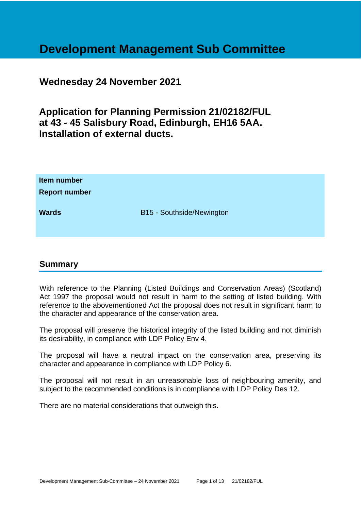# **Development Management Sub Committee**

## **Wednesday 24 November 2021**

**Application for Planning Permission 21/02182/FUL at 43 - 45 Salisbury Road, Edinburgh, EH16 5AA. Installation of external ducts.**

| Item number<br><b>Report number</b> |                           |
|-------------------------------------|---------------------------|
| <b>Wards</b>                        | B15 - Southside/Newington |

## **Summary**

With reference to the Planning (Listed Buildings and Conservation Areas) (Scotland) Act 1997 the proposal would not result in harm to the setting of listed building. With reference to the abovementioned Act the proposal does not result in significant harm to the character and appearance of the conservation area.

The proposal will preserve the historical integrity of the listed building and not diminish its desirability, in compliance with LDP Policy Env 4.

The proposal will have a neutral impact on the conservation area, preserving its character and appearance in compliance with LDP Policy 6.

The proposal will not result in an unreasonable loss of neighbouring amenity, and subject to the recommended conditions is in compliance with LDP Policy Des 12.

There are no material considerations that outweigh this.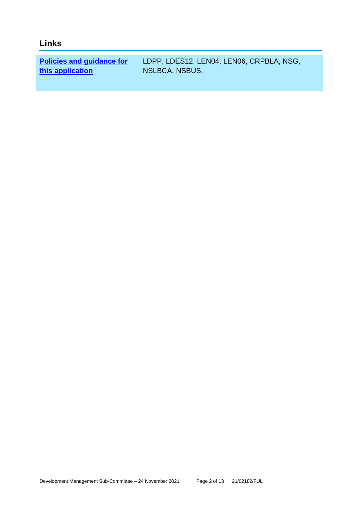# **Links**

**[Policies and guidance for](file:///C:/uniform/temp/uf04148.rtf%23Policies)  [this application](file:///C:/uniform/temp/uf04148.rtf%23Policies)**

LDPP, LDES12, LEN04, LEN06, CRPBLA, NSG, NSLBCA, NSBUS,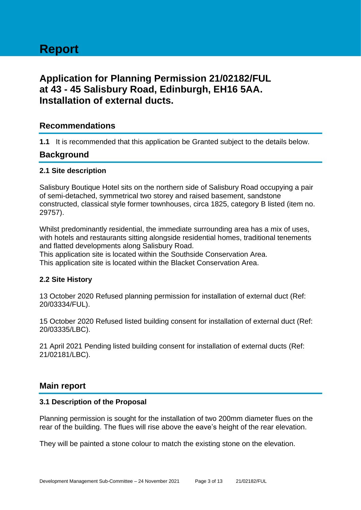# **Application for Planning Permission 21/02182/FUL at 43 - 45 Salisbury Road, Edinburgh, EH16 5AA. Installation of external ducts.**

## **Recommendations**

**1.1** It is recommended that this application be Granted subject to the details below.

## **Background**

#### **2.1 Site description**

Salisbury Boutique Hotel sits on the northern side of Salisbury Road occupying a pair of semi-detached, symmetrical two storey and raised basement, sandstone constructed, classical style former townhouses, circa 1825, category B listed (item no. 29757).

Whilst predominantly residential, the immediate surrounding area has a mix of uses, with hotels and restaurants sitting alongside residential homes, traditional tenements and flatted developments along Salisbury Road.

This application site is located within the Southside Conservation Area. This application site is located within the Blacket Conservation Area.

## **2.2 Site History**

13 October 2020 Refused planning permission for installation of external duct (Ref: 20/03334/FUL).

15 October 2020 Refused listed building consent for installation of external duct (Ref: 20/03335/LBC).

21 April 2021 Pending listed building consent for installation of external ducts (Ref: 21/02181/LBC).

## **Main report**

#### **3.1 Description of the Proposal**

Planning permission is sought for the installation of two 200mm diameter flues on the rear of the building. The flues will rise above the eave's height of the rear elevation.

They will be painted a stone colour to match the existing stone on the elevation.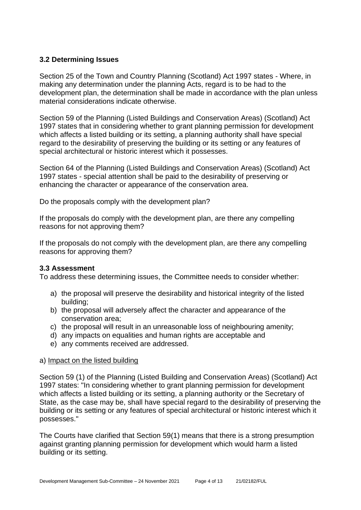## **3.2 Determining Issues**

Section 25 of the Town and Country Planning (Scotland) Act 1997 states - Where, in making any determination under the planning Acts, regard is to be had to the development plan, the determination shall be made in accordance with the plan unless material considerations indicate otherwise.

Section 59 of the Planning (Listed Buildings and Conservation Areas) (Scotland) Act 1997 states that in considering whether to grant planning permission for development which affects a listed building or its setting, a planning authority shall have special regard to the desirability of preserving the building or its setting or any features of special architectural or historic interest which it possesses.

Section 64 of the Planning (Listed Buildings and Conservation Areas) (Scotland) Act 1997 states - special attention shall be paid to the desirability of preserving or enhancing the character or appearance of the conservation area.

Do the proposals comply with the development plan?

If the proposals do comply with the development plan, are there any compelling reasons for not approving them?

If the proposals do not comply with the development plan, are there any compelling reasons for approving them?

## **3.3 Assessment**

To address these determining issues, the Committee needs to consider whether:

- a) the proposal will preserve the desirability and historical integrity of the listed building;
- b) the proposal will adversely affect the character and appearance of the conservation area;
- c) the proposal will result in an unreasonable loss of neighbouring amenity;
- d) any impacts on equalities and human rights are acceptable and
- e) any comments received are addressed.

#### a) Impact on the listed building

Section 59 (1) of the Planning (Listed Building and Conservation Areas) (Scotland) Act 1997 states: "In considering whether to grant planning permission for development which affects a listed building or its setting, a planning authority or the Secretary of State, as the case may be, shall have special regard to the desirability of preserving the building or its setting or any features of special architectural or historic interest which it possesses."

The Courts have clarified that Section 59(1) means that there is a strong presumption against granting planning permission for development which would harm a listed building or its setting.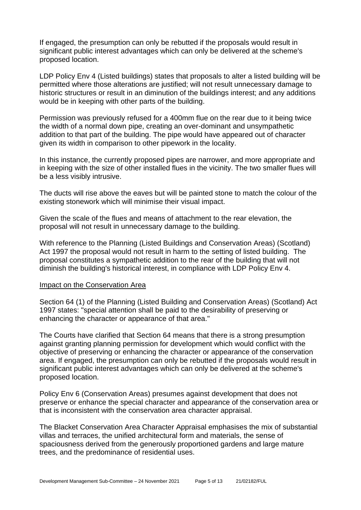If engaged, the presumption can only be rebutted if the proposals would result in significant public interest advantages which can only be delivered at the scheme's proposed location.

LDP Policy Env 4 (Listed buildings) states that proposals to alter a listed building will be permitted where those alterations are justified; will not result unnecessary damage to historic structures or result in an diminution of the buildings interest; and any additions would be in keeping with other parts of the building.

Permission was previously refused for a 400mm flue on the rear due to it being twice the width of a normal down pipe, creating an over-dominant and unsympathetic addition to that part of the building. The pipe would have appeared out of character given its width in comparison to other pipework in the locality.

In this instance, the currently proposed pipes are narrower, and more appropriate and in keeping with the size of other installed flues in the vicinity. The two smaller flues will be a less visibly intrusive.

The ducts will rise above the eaves but will be painted stone to match the colour of the existing stonework which will minimise their visual impact.

Given the scale of the flues and means of attachment to the rear elevation, the proposal will not result in unnecessary damage to the building.

With reference to the Planning (Listed Buildings and Conservation Areas) (Scotland) Act 1997 the proposal would not result in harm to the setting of listed building. The proposal constitutes a sympathetic addition to the rear of the building that will not diminish the building's historical interest, in compliance with LDP Policy Env 4.

#### Impact on the Conservation Area

Section 64 (1) of the Planning (Listed Building and Conservation Areas) (Scotland) Act 1997 states: "special attention shall be paid to the desirability of preserving or enhancing the character or appearance of that area."

The Courts have clarified that Section 64 means that there is a strong presumption against granting planning permission for development which would conflict with the objective of preserving or enhancing the character or appearance of the conservation area. If engaged, the presumption can only be rebutted if the proposals would result in significant public interest advantages which can only be delivered at the scheme's proposed location.

Policy Env 6 (Conservation Areas) presumes against development that does not preserve or enhance the special character and appearance of the conservation area or that is inconsistent with the conservation area character appraisal.

The Blacket Conservation Area Character Appraisal emphasises the mix of substantial villas and terraces, the unified architectural form and materials, the sense of spaciousness derived from the generously proportioned gardens and large mature trees, and the predominance of residential uses.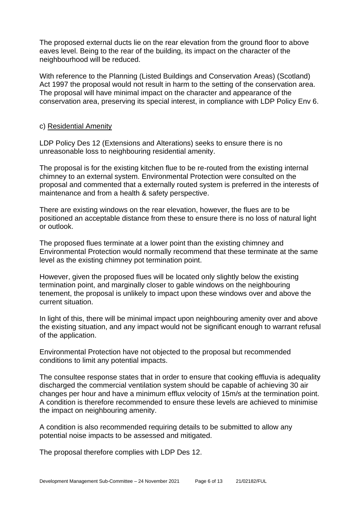The proposed external ducts lie on the rear elevation from the ground floor to above eaves level. Being to the rear of the building, its impact on the character of the neighbourhood will be reduced.

With reference to the Planning (Listed Buildings and Conservation Areas) (Scotland) Act 1997 the proposal would not result in harm to the setting of the conservation area. The proposal will have minimal impact on the character and appearance of the conservation area, preserving its special interest, in compliance with LDP Policy Env 6.

#### c) Residential Amenity

LDP Policy Des 12 (Extensions and Alterations) seeks to ensure there is no unreasonable loss to neighbouring residential amenity.

The proposal is for the existing kitchen flue to be re-routed from the existing internal chimney to an external system. Environmental Protection were consulted on the proposal and commented that a externally routed system is preferred in the interests of maintenance and from a health & safety perspective.

There are existing windows on the rear elevation, however, the flues are to be positioned an acceptable distance from these to ensure there is no loss of natural light or outlook.

The proposed flues terminate at a lower point than the existing chimney and Environmental Protection would normally recommend that these terminate at the same level as the existing chimney pot termination point.

However, given the proposed flues will be located only slightly below the existing termination point, and marginally closer to gable windows on the neighbouring tenement, the proposal is unlikely to impact upon these windows over and above the current situation.

In light of this, there will be minimal impact upon neighbouring amenity over and above the existing situation, and any impact would not be significant enough to warrant refusal of the application.

Environmental Protection have not objected to the proposal but recommended conditions to limit any potential impacts.

The consultee response states that in order to ensure that cooking effluvia is adequality discharged the commercial ventilation system should be capable of achieving 30 air changes per hour and have a minimum efflux velocity of 15m/s at the termination point. A condition is therefore recommended to ensure these levels are achieved to minimise the impact on neighbouring amenity.

A condition is also recommended requiring details to be submitted to allow any potential noise impacts to be assessed and mitigated.

The proposal therefore complies with LDP Des 12.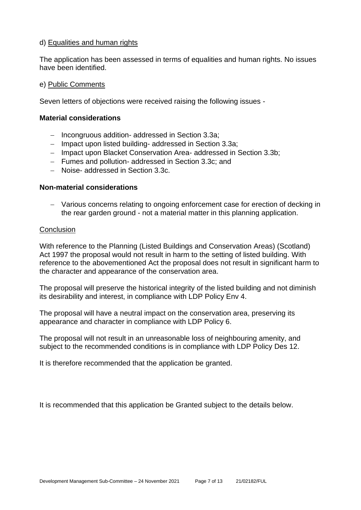#### d) Equalities and human rights

The application has been assessed in terms of equalities and human rights. No issues have been identified.

#### e) Public Comments

Seven letters of objections were received raising the following issues -

#### **Material considerations**

- − Incongruous addition- addressed in Section 3.3a;
- − Impact upon listed building- addressed in Section 3.3a;
- − Impact upon Blacket Conservation Area- addressed in Section 3.3b;
- − Fumes and pollution- addressed in Section 3.3c; and
- − Noise- addressed in Section 3.3c.

#### **Non-material considerations**

− Various concerns relating to ongoing enforcement case for erection of decking in the rear garden ground - not a material matter in this planning application.

#### **Conclusion**

With reference to the Planning (Listed Buildings and Conservation Areas) (Scotland) Act 1997 the proposal would not result in harm to the setting of listed building. With reference to the abovementioned Act the proposal does not result in significant harm to the character and appearance of the conservation area.

The proposal will preserve the historical integrity of the listed building and not diminish its desirability and interest, in compliance with LDP Policy Env 4.

The proposal will have a neutral impact on the conservation area, preserving its appearance and character in compliance with LDP Policy 6.

The proposal will not result in an unreasonable loss of neighbouring amenity, and subject to the recommended conditions is in compliance with LDP Policy Des 12.

It is therefore recommended that the application be granted.

It is recommended that this application be Granted subject to the details below.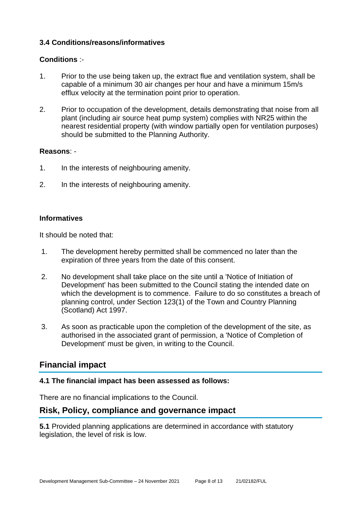## **3.4 Conditions/reasons/informatives**

## **Conditions** :-

- 1. Prior to the use being taken up, the extract flue and ventilation system, shall be capable of a minimum 30 air changes per hour and have a minimum 15m/s efflux velocity at the termination point prior to operation.
- 2. Prior to occupation of the development, details demonstrating that noise from all plant (including air source heat pump system) complies with NR25 within the nearest residential property (with window partially open for ventilation purposes) should be submitted to the Planning Authority.

## **Reasons**: -

- 1. In the interests of neighbouring amenity.
- 2. In the interests of neighbouring amenity.

## **Informatives**

It should be noted that:

- 1. The development hereby permitted shall be commenced no later than the expiration of three years from the date of this consent.
- 2. No development shall take place on the site until a 'Notice of Initiation of Development' has been submitted to the Council stating the intended date on which the development is to commence. Failure to do so constitutes a breach of planning control, under Section 123(1) of the Town and Country Planning (Scotland) Act 1997.
- 3. As soon as practicable upon the completion of the development of the site, as authorised in the associated grant of permission, a 'Notice of Completion of Development' must be given, in writing to the Council.

## **Financial impact**

## **4.1 The financial impact has been assessed as follows:**

There are no financial implications to the Council.

## **Risk, Policy, compliance and governance impact**

**5.1** Provided planning applications are determined in accordance with statutory legislation, the level of risk is low.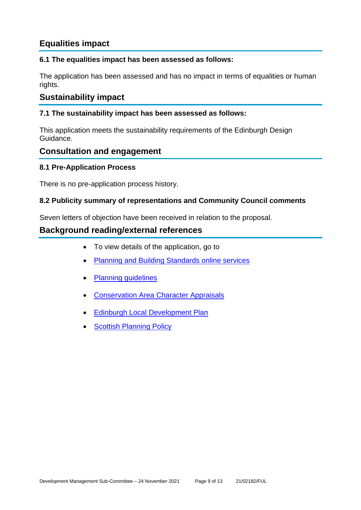# **Equalities impact**

## **6.1 The equalities impact has been assessed as follows:**

The application has been assessed and has no impact in terms of equalities or human rights.

## **Sustainability impact**

## **7.1 The sustainability impact has been assessed as follows:**

This application meets the sustainability requirements of the Edinburgh Design Guidance.

## **Consultation and engagement**

## **8.1 Pre-Application Process**

There is no pre-application process history.

## **8.2 Publicity summary of representations and Community Council comments**

Seven letters of objection have been received in relation to the proposal.

## **Background reading/external references**

- To view details of the application, go to
- **[Planning and Building Standards online services](https://citydev-portal.edinburgh.gov.uk/idoxpa-web/search.do?action=simple&searchType=Application)**
- [Planning guidelines](http://www.edinburgh.gov.uk/planningguidelines)
- [Conservation Area Character Appraisals](http://www.edinburgh.gov.uk/characterappraisals)
- **[Edinburgh Local Development Plan](http://www.edinburgh.gov.uk/localdevelopmentplan)**
- **[Scottish Planning Policy](http://www.scotland.gov.uk/Topics/Built-Environment/planning/Policy)**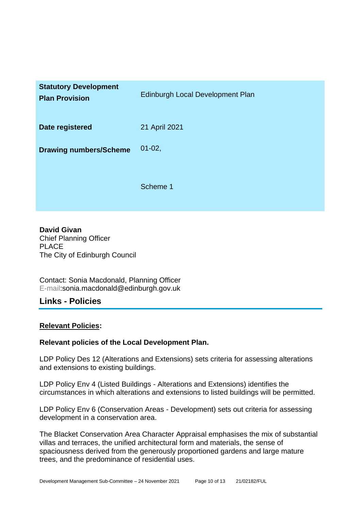| <b>Statutory Development</b><br><b>Plan Provision</b> | Edinburgh Local Development Plan |
|-------------------------------------------------------|----------------------------------|
| Date registered                                       | 21 April 2021                    |
| <b>Drawing numbers/Scheme</b>                         | $01 - 02,$                       |
|                                                       | Scheme 1                         |

**David Givan** Chief Planning Officer PLACE The City of Edinburgh Council

Contact: Sonia Macdonald, Planning Officer E-mail:sonia.macdonald@edinburgh.gov.uk

## **Links - Policies**

## **Relevant Policies:**

## **Relevant policies of the Local Development Plan.**

LDP Policy Des 12 (Alterations and Extensions) sets criteria for assessing alterations and extensions to existing buildings.

LDP Policy Env 4 (Listed Buildings - Alterations and Extensions) identifies the circumstances in which alterations and extensions to listed buildings will be permitted.

LDP Policy Env 6 (Conservation Areas - Development) sets out criteria for assessing development in a conservation area.

The Blacket Conservation Area Character Appraisal emphasises the mix of substantial villas and terraces, the unified architectural form and materials, the sense of spaciousness derived from the generously proportioned gardens and large mature trees, and the predominance of residential uses.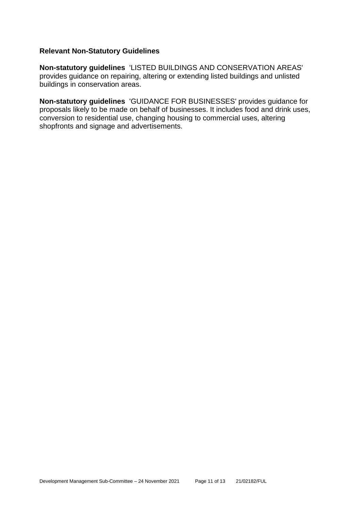#### **Relevant Non-Statutory Guidelines**

**Non-statutory guidelines** 'LISTED BUILDINGS AND CONSERVATION AREAS' provides guidance on repairing, altering or extending listed buildings and unlisted buildings in conservation areas.

**Non-statutory guidelines** 'GUIDANCE FOR BUSINESSES' provides guidance for proposals likely to be made on behalf of businesses. It includes food and drink uses, conversion to residential use, changing housing to commercial uses, altering shopfronts and signage and advertisements.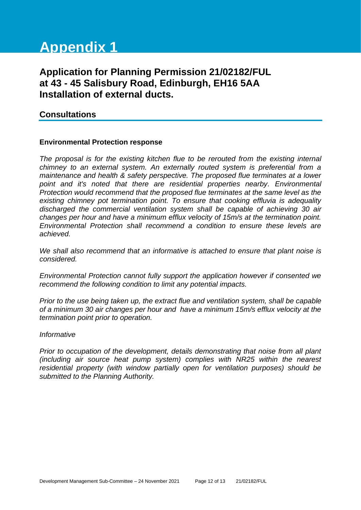# **Appendix 1**

# **Application for Planning Permission 21/02182/FUL at 43 - 45 Salisbury Road, Edinburgh, EH16 5AA Installation of external ducts.**

## **Consultations**

#### **Environmental Protection response**

*The proposal is for the existing kitchen flue to be rerouted from the existing internal chimney to an external system. An externally routed system is preferential from a maintenance and health & safety perspective. The proposed flue terminates at a lower point and it's noted that there are residential properties nearby. Environmental Protection would recommend that the proposed flue terminates at the same level as the existing chimney pot termination point. To ensure that cooking effluvia is adequality discharged the commercial ventilation system shall be capable of achieving 30 air changes per hour and have a minimum efflux velocity of 15m/s at the termination point. Environmental Protection shall recommend a condition to ensure these levels are achieved.* 

*We shall also recommend that an informative is attached to ensure that plant noise is considered.*

*Environmental Protection cannot fully support the application however if consented we recommend the following condition to limit any potential impacts.*

*Prior to the use being taken up, the extract flue and ventilation system, shall be capable of a minimum 30 air changes per hour and have a minimum 15m/s efflux velocity at the termination point prior to operation.*

#### *Informative*

*Prior to occupation of the development, details demonstrating that noise from all plant (including air source heat pump system) complies with NR25 within the nearest residential property (with window partially open for ventilation purposes) should be submitted to the Planning Authority.*